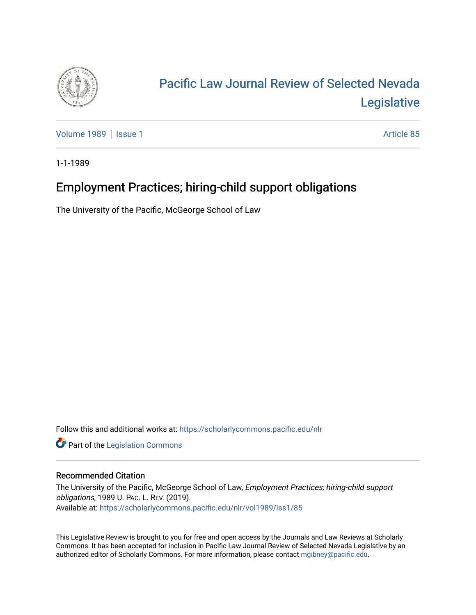

# [Pacific Law Journal Review of Selected Nevada](https://scholarlycommons.pacific.edu/nlr)  [Legislative](https://scholarlycommons.pacific.edu/nlr)

[Volume 1989](https://scholarlycommons.pacific.edu/nlr/vol1989) | [Issue 1](https://scholarlycommons.pacific.edu/nlr/vol1989/iss1) Article 85

1-1-1989

## Employment Practices; hiring-child support obligations

The University of the Pacific, McGeorge School of Law

Follow this and additional works at: [https://scholarlycommons.pacific.edu/nlr](https://scholarlycommons.pacific.edu/nlr?utm_source=scholarlycommons.pacific.edu%2Fnlr%2Fvol1989%2Fiss1%2F85&utm_medium=PDF&utm_campaign=PDFCoverPages) 

**Part of the [Legislation Commons](http://network.bepress.com/hgg/discipline/859?utm_source=scholarlycommons.pacific.edu%2Fnlr%2Fvol1989%2Fiss1%2F85&utm_medium=PDF&utm_campaign=PDFCoverPages)** 

#### Recommended Citation

The University of the Pacific, McGeorge School of Law, Employment Practices; hiring-child support obligations, 1989 U. PAC. L. REV. (2019). Available at: [https://scholarlycommons.pacific.edu/nlr/vol1989/iss1/85](https://scholarlycommons.pacific.edu/nlr/vol1989/iss1/85?utm_source=scholarlycommons.pacific.edu%2Fnlr%2Fvol1989%2Fiss1%2F85&utm_medium=PDF&utm_campaign=PDFCoverPages)

This Legislative Review is brought to you for free and open access by the Journals and Law Reviews at Scholarly Commons. It has been accepted for inclusion in Pacific Law Journal Review of Selected Nevada Legislative by an authorized editor of Scholarly Commons. For more information, please contact [mgibney@pacific.edu](mailto:mgibney@pacific.edu).